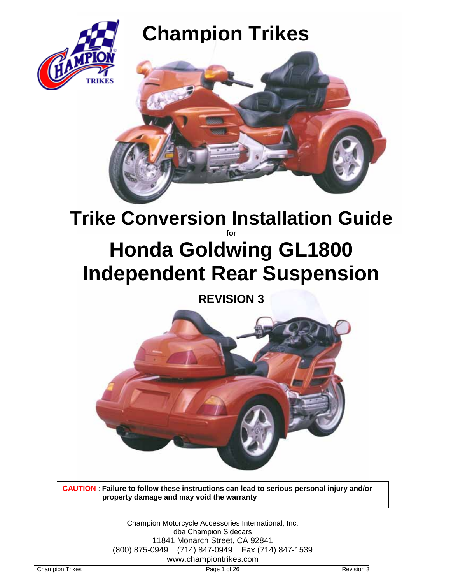

# **EXICHAMPION Trikes**



# **Trike Conversion Installation Guide for Honda Goldwing GL1800 Independent Rear Suspension**

# **REVISION 3**



**CAUTION** : **Failure to follow these instructions can lead to serious personal injury and/or property damage and may void the warranty**

> Champion Motorcycle Accessories International, Inc. dba Champion Sidecars 11841 Monarch Street, CA 92841 (800) 875-0949 (714) 847-0949 Fax (714) 847-1539 www.championtrikes.com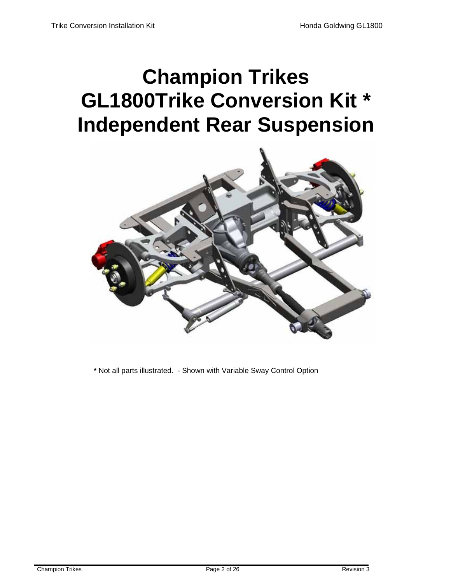# **Champion Trikes GL1800Trike Conversion Kit \* Independent Rear Suspension**



**\*** Not all parts illustrated. - Shown with Variable Sway Control Option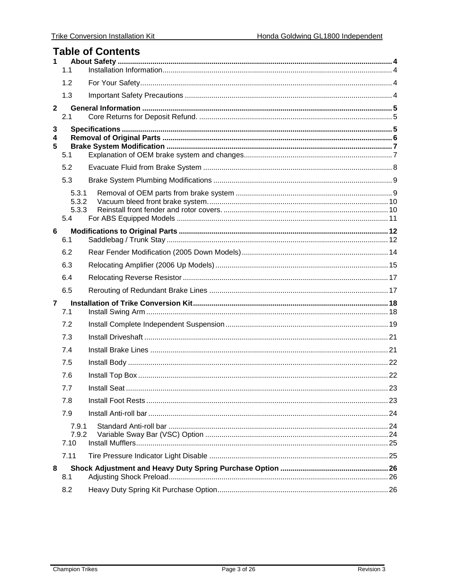# **Table of Contents**

| 1            | 1.1                            |  |
|--------------|--------------------------------|--|
|              | 1.2                            |  |
|              | 1.3                            |  |
| $\mathbf{2}$ |                                |  |
|              | 2.1                            |  |
| 3<br>4<br>5  | 5.1                            |  |
|              | 5.2                            |  |
|              | 5.3                            |  |
|              | 5.3.1<br>5.3.2<br>5.3.3<br>5.4 |  |
| 6            |                                |  |
|              | 6.1                            |  |
|              | 6.2                            |  |
|              | 6.3                            |  |
|              | 6.4                            |  |
|              | 6.5                            |  |
| 7            | 7.1                            |  |
|              | 7.2                            |  |
|              | 7.3                            |  |
|              | 7.4                            |  |
|              | 7.5                            |  |
|              | 7.6                            |  |
|              | 7.7                            |  |
|              | 7.8                            |  |
|              | 7.9                            |  |
|              | 7.9.1<br>7.9.2<br>7.10         |  |
|              | 7.11                           |  |
| 8<br>8.1     |                                |  |
|              | 8.2                            |  |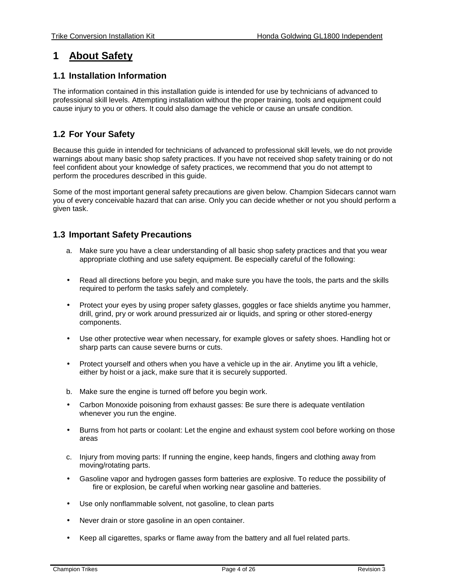#### <span id="page-3-0"></span>**1 About Safety**

#### <span id="page-3-1"></span>**1.1 Installation Information**

The information contained in this installation guide is intended for use by technicians of advanced to professional skill levels. Attempting installation without the proper training, tools and equipment could cause injury to you or others. It could also damage the vehicle or cause an unsafe condition.

#### <span id="page-3-2"></span>**1.2 For Your Safety**

Because this guide in intended for technicians of advanced to professional skill levels, we do not provide warnings about many basic shop safety practices. If you have not received shop safety training or do not feel confident about your knowledge of safety practices, we recommend that you do not attempt to perform the procedures described in this guide.

Some of the most important general safety precautions are given below. Champion Sidecars cannot warn you of every conceivable hazard that can arise. Only you can decide whether or not you should perform a given task.

#### <span id="page-3-3"></span>**1.3 Important Safety Precautions**

- a. Make sure you have a clear understanding of all basic shop safety practices and that you wear appropriate clothing and use safety equipment. Be especially careful of the following:
- Read all directions before you begin, and make sure you have the tools, the parts and the skills required to perform the tasks safely and completely.
- Protect your eyes by using proper safety glasses, goggles or face shields anytime you hammer, drill, grind, pry or work around pressurized air or liquids, and spring or other stored-energy components.
- Use other protective wear when necessary, for example gloves or safety shoes. Handling hot or sharp parts can cause severe burns or cuts.
- Protect yourself and others when you have a vehicle up in the air. Anytime you lift a vehicle, either by hoist or a jack, make sure that it is securely supported.
- b. Make sure the engine is turned off before you begin work.
- Carbon Monoxide poisoning from exhaust gasses: Be sure there is adequate ventilation whenever you run the engine.
- Burns from hot parts or coolant: Let the engine and exhaust system cool before working on those areas
- c. Injury from moving parts: If running the engine, keep hands, fingers and clothing away from moving/rotating parts.
- Gasoline vapor and hydrogen gasses form batteries are explosive. To reduce the possibility of fire or explosion, be careful when working near gasoline and batteries.
- Use only nonflammable solvent, not gasoline, to clean parts
- Never drain or store gasoline in an open container.
- Keep all cigarettes, sparks or flame away from the battery and all fuel related parts.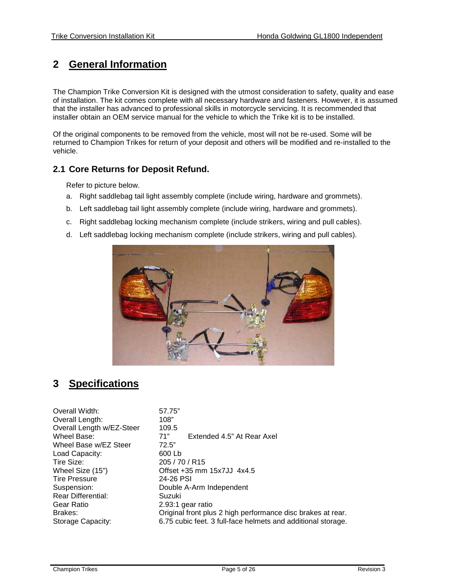# <span id="page-4-0"></span>**2 General Information**

The Champion Trike Conversion Kit is designed with the utmost consideration to safety, quality and ease of installation. The kit comes complete with all necessary hardware and fasteners. However, it is assumed that the installer has advanced to professional skills in motorcycle servicing. It is recommended that installer obtain an OEM service manual for the vehicle to which the Trike kit is to be installed.

Of the original components to be removed from the vehicle, most will not be re-used. Some will be returned to Champion Trikes for return of your deposit and others will be modified and re-installed to the vehicle.

#### <span id="page-4-1"></span>**2.1 Core Returns for Deposit Refund.**

Refer to picture below.

- a. Right saddlebag tail light assembly complete (include wiring, hardware and grommets).
- b. Left saddlebag tail light assembly complete (include wiring, hardware and grommets).
- c. Right saddlebag locking mechanism complete (include strikers, wiring and pull cables).
- d. Left saddlebag locking mechanism complete (include strikers, wiring and pull cables).



## <span id="page-4-2"></span>**3 Specifications**

| Overall Width:            | 57.75"                                                       |
|---------------------------|--------------------------------------------------------------|
| Overall Length:           | 108"                                                         |
| Overall Length w/EZ-Steer | 109.5                                                        |
| Wheel Base:               | 71"<br>Extended 4.5" At Rear Axel                            |
| Wheel Base w/EZ Steer     | 72.5"                                                        |
| Load Capacity:            | 600 Lb                                                       |
| Tire Size:                | 205/70/R15                                                   |
| Wheel Size (15")          | Offset +35 mm 15x7JJ 4x4.5                                   |
| <b>Tire Pressure</b>      | 24-26 PSI                                                    |
| Suspension:               | Double A-Arm Independent                                     |
| <b>Rear Differential:</b> | Suzuki                                                       |
| Gear Ratio                | 2.93:1 gear ratio                                            |
| Brakes:                   | Original front plus 2 high performance disc brakes at rear.  |
| Storage Capacity:         | 6.75 cubic feet. 3 full-face helmets and additional storage. |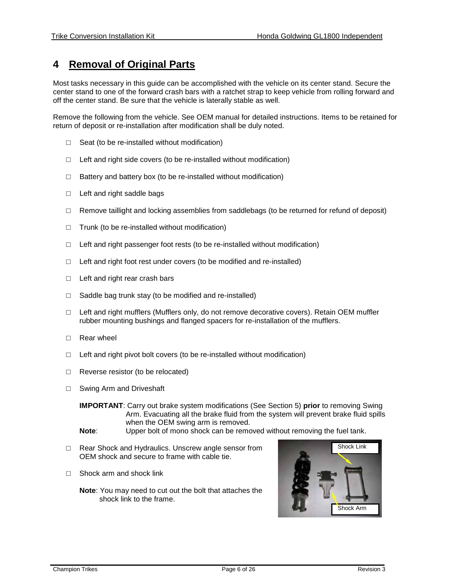#### <span id="page-5-0"></span>**4 Removal of Original Parts**

Most tasks necessary in this guide can be accomplished with the vehicle on its center stand. Secure the center stand to one of the forward crash bars with a ratchet strap to keep vehicle from rolling forward and off the center stand. Be sure that the vehicle is laterally stable as well.

Remove the following from the vehicle. See OEM manual for detailed instructions. Items to be retained for return of deposit or re-installation after modification shall be duly noted.

- $\Box$  Seat (to be re-installed without modification)
- $\Box$  Left and right side covers (to be re-installed without modification)
- $\Box$  Battery and battery box (to be re-installed without modification)
- □ Left and right saddle bags
- $\Box$  Remove taillight and locking assemblies from saddlebags (to be returned for refund of deposit)
- $\Box$  Trunk (to be re-installed without modification)
- $\Box$  Left and right passenger foot rests (to be re-installed without modification)
- □ Left and right foot rest under covers (to be modified and re-installed)
- □ Left and right rear crash bars
- □ Saddle bag trunk stay (to be modified and re-installed)
- □ Left and right mufflers (Mufflers only, do not remove decorative covers). Retain OEM muffler rubber mounting bushings and flanged spacers for re-installation of the mufflers.
- □ Rear wheel
- $\Box$  Left and right pivot bolt covers (to be re-installed without modification)
- □ Reverse resistor (to be relocated)
- □ Swing Arm and Driveshaft

**IMPORTANT**: Carry out brake system modifications (See Section 5) **prior** to removing Swing Arm. Evacuating all the brake fluid from the system will prevent brake fluid spills when the OEM swing arm is removed.

- **Note**: Upper bolt of mono shock can be removed without removing the fuel tank.
- □ Rear Shock and Hydraulics. Unscrew angle sensor from OEM shock and secure to frame with cable tie.
- $\Box$  Shock arm and shock link
	- **Note**: You may need to cut out the bolt that attaches the shock link to the frame.

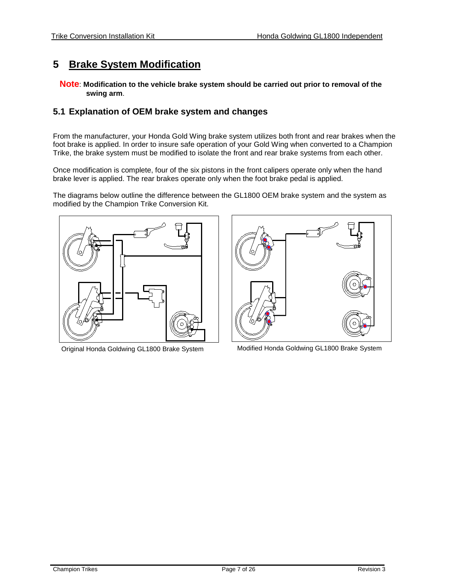#### <span id="page-6-0"></span>**5 Brake System Modification**

**Note**: **Modification to the vehicle brake system should be carried out prior to removal of the swing arm**.

#### <span id="page-6-1"></span>**5.1 Explanation of OEM brake system and changes**

From the manufacturer, your Honda Gold Wing brake system utilizes both front and rear brakes when the foot brake is applied. In order to insure safe operation of your Gold Wing when converted to a Champion Trike, the brake system must be modified to isolate the front and rear brake systems from each other.

Once modification is complete, four of the six pistons in the front calipers operate only when the hand brake lever is applied. The rear brakes operate only when the foot brake pedal is applied.

The diagrams below outline the difference between the GL1800 OEM brake system and the system as modified by the Champion Trike Conversion Kit.





Original Honda Goldwing GL1800 Brake System Modified Honda Goldwing GL1800 Brake System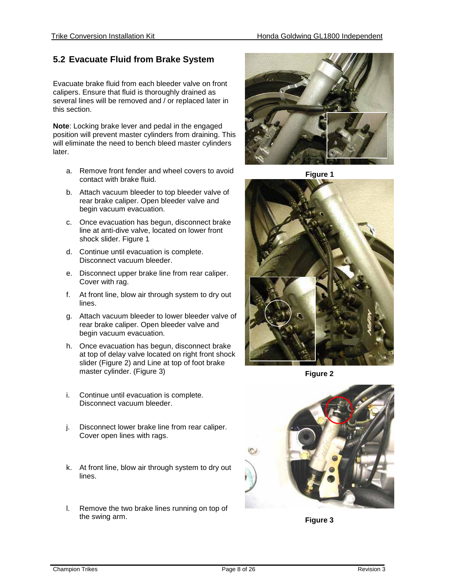#### <span id="page-7-0"></span>**5.2 Evacuate Fluid from Brake System**

Evacuate brake fluid from each bleeder valve on front calipers. Ensure that fluid is thoroughly drained as several lines will be removed and / or replaced later in this section.

**Note**: Locking brake lever and pedal in the engaged position will prevent master cylinders from draining. This will eliminate the need to bench bleed master cylinders later.

- a. Remove front fender and wheel covers to avoid contact with brake fluid.
- b. Attach vacuum bleeder to top bleeder valve of rear brake caliper. Open bleeder valve and begin vacuum evacuation.
- c. Once evacuation has begun, disconnect brake line at anti-dive valve, located on lower front shock slider. Figure 1
- d. Continue until evacuation is complete. Disconnect vacuum bleeder.
- e. Disconnect upper brake line from rear caliper. Cover with rag.
- f. At front line, blow air through system to dry out lines.
- g. Attach vacuum bleeder to lower bleeder valve of rear brake caliper. Open bleeder valve and begin vacuum evacuation.
- h. Once evacuation has begun, disconnect brake at top of delay valve located on right front shock slider (Figure 2) and Line at top of foot brake master cylinder. (Figure 3)
- i. Continue until evacuation is complete. Disconnect vacuum bleeder.
- j. Disconnect lower brake line from rear caliper. Cover open lines with rags.
- k. At front line, blow air through system to dry out lines.
- l. Remove the two brake lines running on top of the swing arm.



**Figure 1**



**Figure 2**



**Figure 3**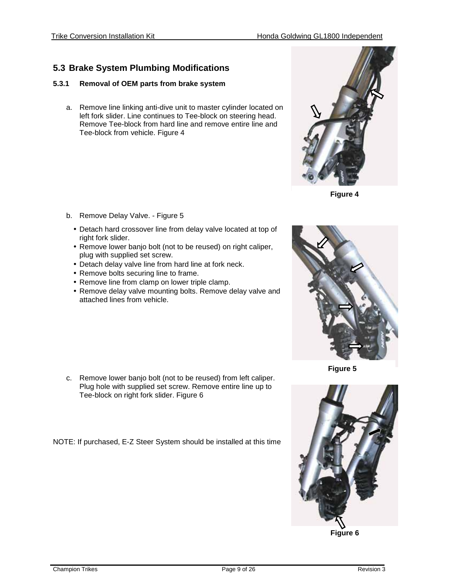### <span id="page-8-0"></span>**5.3 Brake System Plumbing Modifications**

#### <span id="page-8-1"></span>**5.3.1 Removal of OEM parts from brake system**

a. Remove line linking anti-dive unit to master cylinder located on left fork slider. Line continues to Tee-block on steering head. Remove Tee-block from hard line and remove entire line and Tee-block from vehicle. Figure 4



- Detach hard crossover line from delay valve located at top of right fork slider.
- Remove lower banjo bolt (not to be reused) on right caliper, plug with supplied set screw.
- Detach delay valve line from hard line at fork neck.
- Remove bolts securing line to frame.
- Remove line from clamp on lower triple clamp.
- Remove delay valve mounting bolts. Remove delay valve and attached lines from vehicle.



NOTE: If purchased, E-Z Steer System should be installed at this time



**Figure 4**



**Figure 5**



**Figure 6**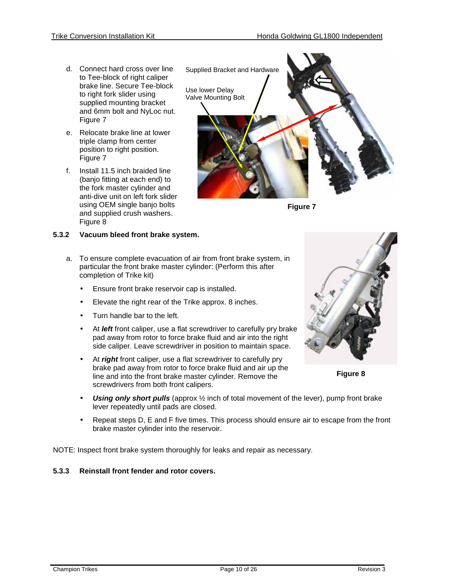- d. Connect hard cross over line to Tee-block of right caliper brake line. Secure Tee-block to right fork slider using supplied mounting bracket and 6mm bolt and NyLoc nut. Figure 7
- e. Relocate brake line at lower triple clamp from center position to right position. Figure 7
- f. Install 11.5 inch braided line (banjo fitting at each end) to the fork master cylinder and anti-dive unit on left fork slider using OEM single banjo bolts and supplied crush washers. Figure 8

#### <span id="page-9-0"></span>**5.3.2 Vacuum bleed front brake system.**

- a. To ensure complete evacuation of air from front brake system, in particular the front brake master cylinder: (Perform this after completion of Trike kit)
	- Ensure front brake reservoir cap is installed. ä.
	- Elevate the right rear of the Trike approx. 8 inches.
	- Turn handle bar to the left.
	- At *left* front caliper, use a flat screwdriver to carefully pry brake pad away from rotor to force brake fluid and air into the right side caliper. Leave screwdriver in position to maintain space.
	- At *right* front caliper, use a flat screwdriver to carefully pry brake pad away from rotor to force brake fluid and air up the line and into the front brake master cylinder. Remove the screwdrivers from both front calipers.
	- *Using only short pulls* (approx ½ inch of total movement of the lever), pump front brake lever repeatedly until pads are closed.
	- Repeat steps D, E and F five times. This process should ensure air to escape from the front brake master cylinder into the reservoir.

NOTE: Inspect front brake system thoroughly for leaks and repair as necessary.

#### <span id="page-9-1"></span>**5.3.3 Reinstall front fender and rotor covers.**







**Figure 8**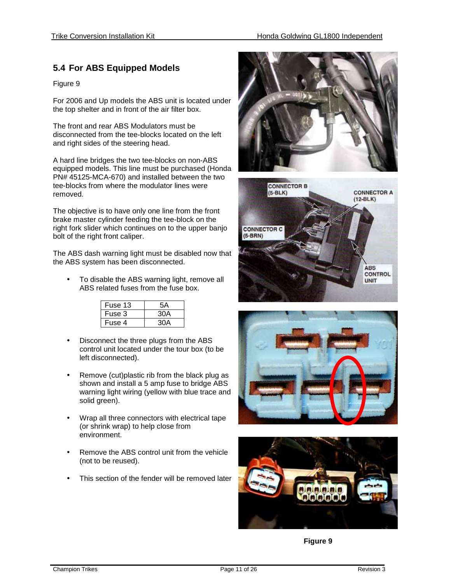#### <span id="page-10-0"></span>**5.4 For ABS Equipped Models**

#### Figure 9

For 2006 and Up models the ABS unit is located under the top shelter and in front of the air filter box.

The front and rear ABS Modulators must be disconnected from the tee-blocks located on the left and right sides of the steering head.

A hard line bridges the two tee-blocks on non-ABS equipped models. This line must be purchased (Honda PN# 45125-MCA-670) and installed between the two tee-blocks from where the modulator lines were removed.

The objective is to have only one line from the front brake master cylinder feeding the tee-block on the right fork slider which continues on to the upper banjo bolt of the right front caliper.

The ABS dash warning light must be disabled now that the ABS system has been disconnected.

To disable the ABS warning light, remove all ABS related fuses from the fuse box.

| Fuse 13 | 5Α  |
|---------|-----|
| Fuse 3  | 30A |
| Fuse 4  |     |

- Disconnect the three plugs from the ABS control unit located under the tour box (to be left disconnected).
- Remove (cut)plastic rib from the black plug as shown and install a 5 amp fuse to bridge ABS warning light wiring (yellow with blue trace and solid green).
- Wrap all three connectors with electrical tape (or shrink wrap) to help close from environment.
- Remove the ABS control unit from the vehicle (not to be reused).
- This section of the fender will be removed later









**Figure 9**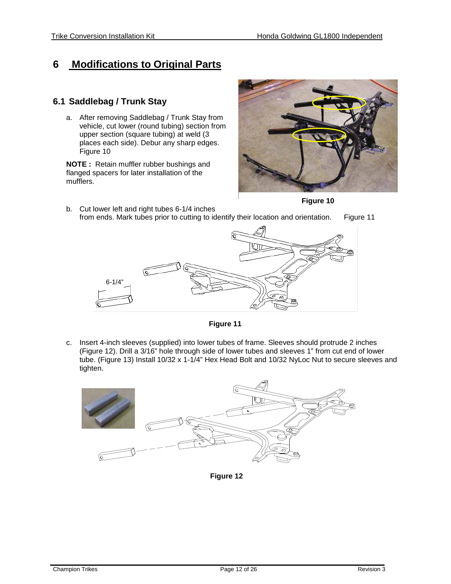# <span id="page-11-0"></span>**6 Modifications to Original Parts**

#### <span id="page-11-1"></span>**6.1 Saddlebag / Trunk Stay**

a. After removing Saddlebag / Trunk Stay from vehicle, cut lower (round tubing) section from upper section (square tubing) at weld (3 places each side). Debur any sharp edges. Figure 10

**NOTE :** Retain muffler rubber bushings and flanged spacers for later installation of the mufflers.



**Figure 10**

b. Cut lower left and right tubes 6-1/4 inches from ends. Mark tubes prior to cutting to identify their location and orientation. Figure 11



**Figure 11**

c. Insert 4-inch sleeves (supplied) into lower tubes of frame. Sleeves should protrude 2 inches (Figure 12). Drill a 3/16" hole through side of lower tubes and sleeves 1" from cut end of lower tube. (Figure 13) Install 10/32 x 1-1/4" Hex Head Bolt and 10/32 NyLoc Nut to secure sleeves and tighten.



**Figure 12**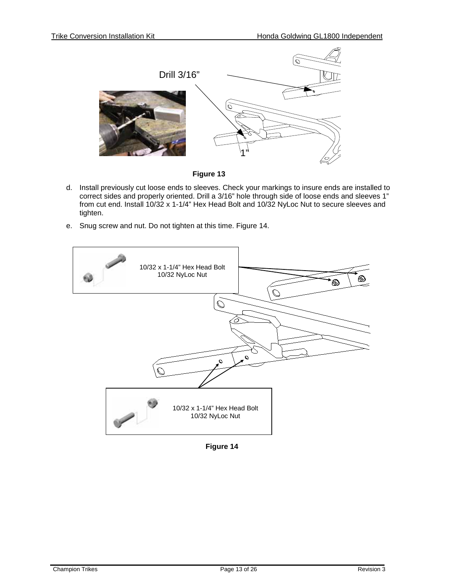

**Figure 13**

- d. Install previously cut loose ends to sleeves. Check your markings to insure ends are installed to correct sides and properly oriented. Drill a 3/16" hole through side of loose ends and sleeves 1" from cut end. Install 10/32 x 1-1/4" Hex Head Bolt and 10/32 NyLoc Nut to secure sleeves and tighten.
- e. Snug screw and nut. Do not tighten at this time. Figure 14.



**Figure 14**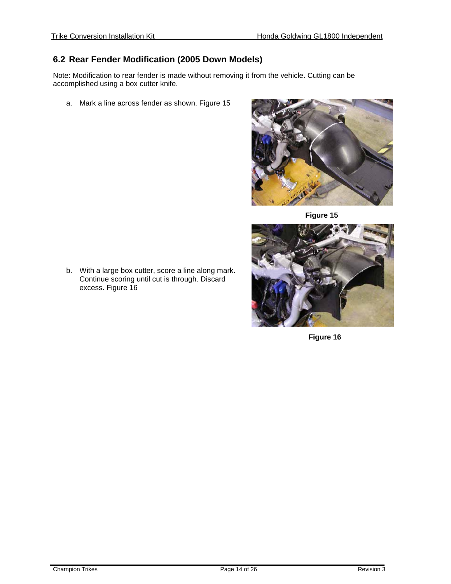#### <span id="page-13-0"></span>**6.2 Rear Fender Modification (2005 Down Models)**

Note: Modification to rear fender is made without removing it from the vehicle. Cutting can be accomplished using a box cutter knife.

a. Mark a line across fender as shown. Figure 15



**Figure 15**



**Figure 50 Figure 16**

b. With a large box cutter, score a line along mark. Continue scoring until cut is through. Discard excess. Figure 16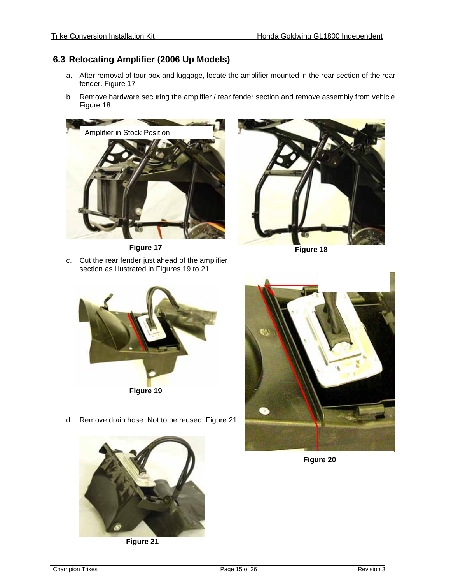#### <span id="page-14-0"></span>**6.3 Relocating Amplifier (2006 Up Models)**

- a. After removal of tour box and luggage, locate the amplifier mounted in the rear section of the rear fender. Figure 17
- b. Remove hardware securing the amplifier / rear fender section and remove assembly from vehicle. Figure 18



c. Cut the rear fender just ahead of the amplifier **Figure 17**

section as illustrated in Figures 19 to 21



**Figure 18**

- **Figure 19**
- d. Remove drain hose. Not to be reused. Figure 21



**Figure 21** 



**Figure 20**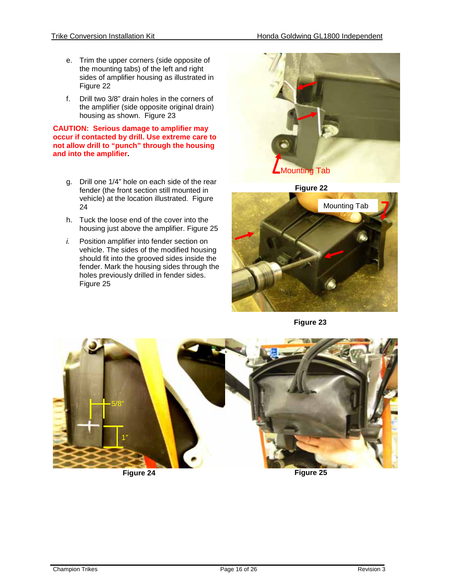- e. Trim the upper corners (side opposite of the mounting tabs) of the left and right sides of amplifier housing as illustrated in Figure 22
- f. Drill two 3/8" drain holes in the corners of the amplifier (side opposite original drain) housing as shown. Figure 23

#### **CAUTION: Serious damage to amplifier may occur if contacted by drill. Use extreme care to not allow drill to "punch" through the housing and into the amplifier.**

- g. Drill one 1/4" hole on each side of the rear fender (the front section still mounted in vehicle) at the location illustrated. Figure 24
- h. Tuck the loose end of the cover into the housing just above the amplifier. Figure 25
- *i.* Position amplifier into fender section on vehicle. The sides of the modified housing should fit into the grooved sides inside the fender. Mark the housing sides through the holes previously drilled in fender sides. Figure 25



**Figure 22**



**Figure 23**



**Figure 24**

**Figure 25**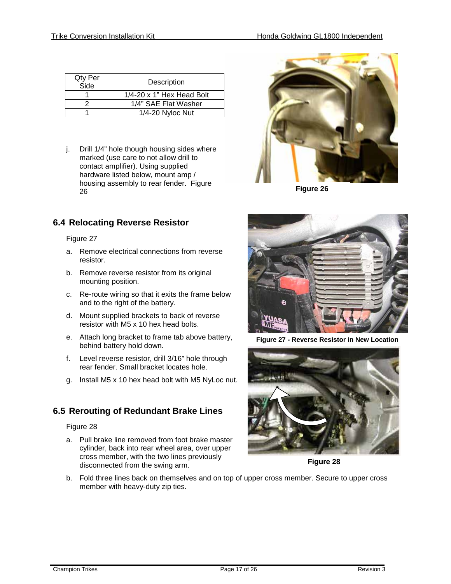| Qty Per<br>Side | Description                         |
|-----------------|-------------------------------------|
|                 | $1/4 - 20 \times 1$ " Hex Head Bolt |
|                 | 1/4" SAE Flat Washer                |
|                 | $1/4 - 20$ Nyloc Nut                |

j. Drill 1/4" hole though housing sides where marked (use care to not allow drill to contact amplifier). Using supplied hardware listed below, mount amp / housing assembly to rear fender. Figure 26



**Figure 26**

## <span id="page-16-0"></span>**6.4 Relocating Reverse Resistor**

#### Figure 27

- a. Remove electrical connections from reverse resistor.
- b. Remove reverse resistor from its original mounting position.
- c. Re-route wiring so that it exits the frame below and to the right of the battery.
- d. Mount supplied brackets to back of reverse resistor with M5 x 10 hex head bolts.
- e. Attach long bracket to frame tab above battery, behind battery hold down.
- f. Level reverse resistor, drill 3/16" hole through rear fender. Small bracket locates hole.
- g. Install M5 x 10 hex head bolt with M5 NyLoc nut.

## <span id="page-16-1"></span>**6.5 Rerouting of Redundant Brake Lines**

#### Figure 28

a. Pull brake line removed from foot brake master cylinder, back into rear wheel area, over upper cross member, with the two lines previously disconnected from the swing arm.



**Figure 27 - Reverse Resistor in New Location**



**Figure 28**

b. Fold three lines back on themselves and on top of upper cross member. Secure to upper cross member with heavy-duty zip ties.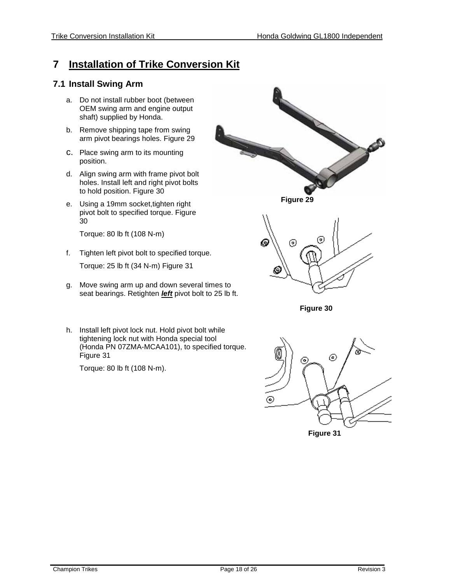#### <span id="page-17-0"></span>**7 Installation of Trike Conversion Kit**

#### <span id="page-17-1"></span>**7.1 Install Swing Arm**

- a. Do not install rubber boot (between OEM swing arm and engine output shaft) supplied by Honda.
- b. Remove shipping tape from swing arm pivot bearings holes. Figure 29
- c. Place swing arm to its mounting position.
- d. Align swing arm with frame pivot bolt holes. Install left and right pivot bolts to hold position. Figure 30
- e. Using a 19mm socket,tighten right pivot bolt to specified torque. Figure 30

Torque: 80 lb ft (108 N-m)

- f. Tighten left pivot bolt to specified torque. Torque: 25 lb ft (34 N-m) Figure 31
- g. Move swing arm up and down several times to seat bearings. Retighten *left* pivot bolt to 25 lb ft.
- h. Install left pivot lock nut. Hold pivot bolt while tightening lock nut with Honda special tool (Honda PN 07ZMA-MCAA101), to specified torque. Figure 31

Torque: 80 lb ft (108 N-m).



**Figure 29**



**Figure 30**

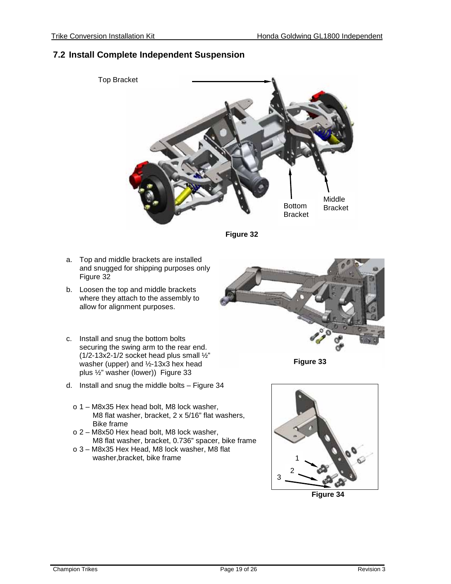#### <span id="page-18-0"></span>**7.2 Install Complete Independent Suspension**



**Figure 32**

- a. Top and middle brackets are installed and snugged for shipping purposes only Figure 32
- b. Loosen the top and middle brackets where they attach to the assembly to allow for alignment purposes.
- c. Install and snug the bottom bolts securing the swing arm to the rear end. ( $1/2$ -13x2-1/2 socket head plus small  $\frac{1}{2}$ " washer (upper) and ½-13x3 hex head plus ½" washer (lower)) Figure 33
- d. Install and snug the middle bolts Figure 34
	- o 1 M8x35 Hex head bolt, M8 lock washer, M8 flat washer, bracket, 2 x 5/16" flat washers, Bike frame
	- o 2 M8x50 Hex head bolt, M8 lock washer, M8 flat washer, bracket, 0.736" spacer, bike frame
	- o 3 M8x35 Hex Head, M8 lock washer, M8 flat washer,bracket, bike frame



**Figure 33**



**Figure 34**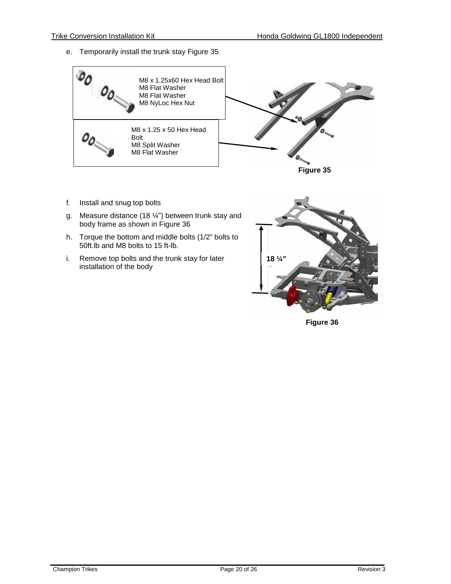e. Temporarily install the trunk stay Figure 35





- f. Install and snug top bolts
- g. Measure distance (18  $\frac{1}{2}$ ) between trunk stay and body frame as shown in Figure 36
- h. Torque the bottom and middle bolts (1/2" bolts to 50ft.lb and M8 bolts to 15 ft-lb.
- i. Remove top bolts and the trunk stay for later installation of the body



**Figure 36**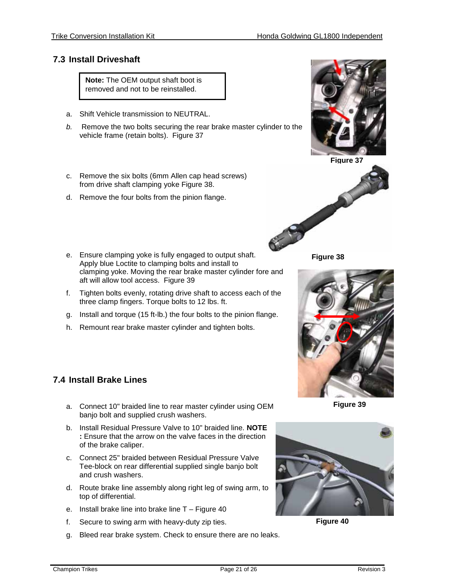#### <span id="page-20-0"></span>**7.3 Install Driveshaft**

**Note:** The OEM output shaft boot is removed and not to be reinstalled.

- a. Shift Vehicle transmission to NEUTRAL.
- *b.* Remove the two bolts securing the rear brake master cylinder to the vehicle frame (retain bolts). Figure 37
- c. Remove the six bolts (6mm Allen cap head screws) from drive shaft clamping yoke Figure 38.
- d. Remove the four bolts from the pinion flange.
- e. Ensure clamping yoke is fully engaged to output shaft. Apply blue Loctite to clamping bolts and install to clamping yoke. Moving the rear brake master cylinder fore and aft will allow tool access. Figure 39
- f. Tighten bolts evenly, rotating drive shaft to access each of the three clamp fingers. Torque bolts to 12 lbs. ft.
- g. Install and torque (15 ft-lb.) the four bolts to the pinion flange.
- h. Remount rear brake master cylinder and tighten bolts.

#### <span id="page-20-1"></span>**7.4 Install Brake Lines**

- a. Connect 10" braided line to rear master cylinder using OEM banjo bolt and supplied crush washers.
- b. Install Residual Pressure Valve to 10" braided line. **NOTE :** Ensure that the arrow on the valve faces in the direction of the brake caliper.
- c. Connect 25" braided between Residual Pressure Valve Tee-block on rear differential supplied single banjo bolt and crush washers.
- d. Route brake line assembly along right leg of swing arm, to top of differential.
- e. Install brake line into brake line T Figure 40
- f. Secure to swing arm with heavy-duty zip ties.
- g. Bleed rear brake system. Check to ensure there are no leaks.



**Figure 37**



**Figure 38**



**Figure 39**



**Figure 40**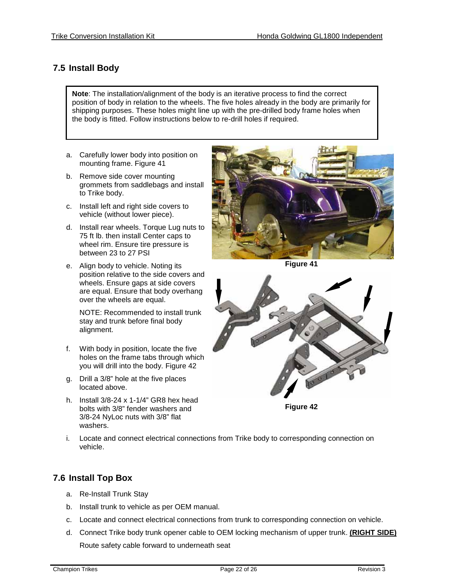### <span id="page-21-0"></span>**7.5 Install Body**

**Note**: The installation/alignment of the body is an iterative process to find the correct position of body in relation to the wheels. The five holes already in the body are primarily for shipping purposes. These holes might line up with the pre-drilled body frame holes when the body is fitted. Follow instructions below to re-drill holes if required.

- a. Carefully lower body into position on mounting frame. Figure 41
- b. Remove side cover mounting grommets from saddlebags and install to Trike body.
- c. Install left and right side covers to vehicle (without lower piece).
- d. Install rear wheels. Torque Lug nuts to 75 ft lb. then install Center caps to wheel rim. Ensure tire pressure is between 23 to 27 PSI
- e. Align body to vehicle. Noting its position relative to the side covers and wheels. Ensure gaps at side covers are equal. Ensure that body overhang over the wheels are equal.

NOTE: Recommended to install trunk stay and trunk before final body alignment.

- f. With body in position, locate the five holes on the frame tabs through which you will drill into the body. Figure 42
- g. Drill a 3/8" hole at the five places located above.
- h. Install 3/8-24 x 1-1/4" GR8 hex head bolts with 3/8" fender washers and 3/8-24 NyLoc nuts with 3/8" flat washers.



**Figure 41**



**Figure 42**

i. Locate and connect electrical connections from Trike body to corresponding connection on vehicle.

#### <span id="page-21-1"></span>**7.6 Install Top Box**

- a. Re-Install Trunk Stay
- b. Install trunk to vehicle as per OEM manual.
- c. Locate and connect electrical connections from trunk to corresponding connection on vehicle.
- d. Connect Trike body trunk opener cable to OEM locking mechanism of upper trunk. **(RIGHT SIDE)** Route safety cable forward to underneath seat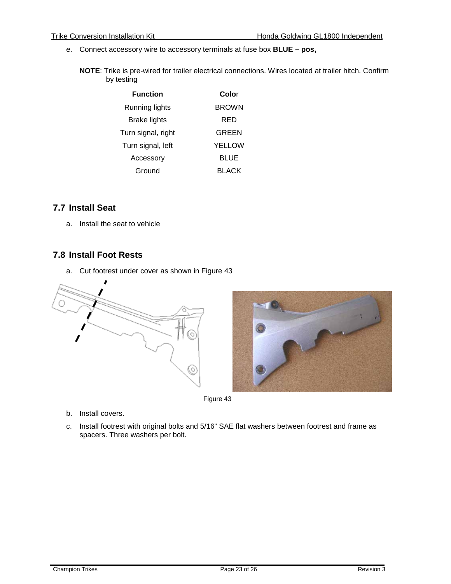- e. Connect accessory wire to accessory terminals at fuse box **BLUE – pos,**
	- **NOTE**: Trike is pre-wired for trailer electrical connections. Wires located at trailer hitch. Confirm by testing

| <b>Function</b>    | Color         |
|--------------------|---------------|
| Running lights     | <b>BROWN</b>  |
| Brake lights       | RED           |
| Turn signal, right | GREEN         |
| Turn signal, left  | <b>YELLOW</b> |
| Accessory          | BLUE          |
| Ground             | BLACK         |

#### <span id="page-22-0"></span>**7.7 Install Seat**

a. Install the seat to vehicle

#### <span id="page-22-1"></span>**7.8 Install Foot Rests**

a. Cut footrest under cover as shown in Figure 43



Figure 43

- b. Install covers.
- c. Install footrest with original bolts and 5/16" SAE flat washers between footrest and frame as spacers. Three washers per bolt.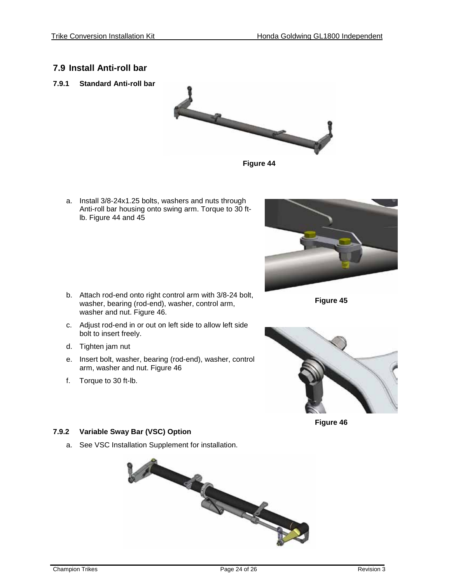#### <span id="page-23-0"></span>**7.9 Install Anti-roll bar**

<span id="page-23-1"></span>**7.9.1 Standard Anti-roll bar**



**Figure 44** 

a. Install 3/8-24x1.25 bolts, washers and nuts through Anti-roll bar housing onto swing arm. Torque to 30 ftlb. Figure 44 and 45



- b. Attach rod-end onto right control arm with 3/8-24 bolt, washer, bearing (rod-end), washer, control arm, washer and nut. Figure 46.
- c. Adjust rod-end in or out on left side to allow left side bolt to insert freely.
- d. Tighten jam nut
- e. Insert bolt, washer, bearing (rod-end), washer, control arm, washer and nut. Figure 46
- f. Torque to 30 ft-lb.





**Figure 46**

#### <span id="page-23-2"></span>**7.9.2 Variable Sway Bar (VSC) Option**

a. See VSC Installation Supplement for installation.

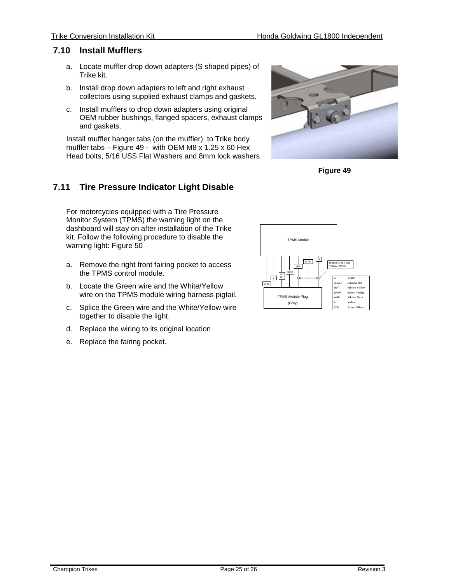#### **7.10 Install Mufflers**

- <span id="page-24-0"></span>a. Locate muffler drop down adapters (S shaped pipes) of Trike kit.
- b. Install drop down adapters to left and right exhaust collectors using supplied exhaust clamps and gaskets.
- c. Install mufflers to drop down adapters using original OEM rubber bushings, flanged spacers, exhaust clamps and gaskets.

Install muffler hanger tabs (on the muffler) to Trike body muffler tabs – Figure 49 - with OEM M8 x 1.25 x 60 Hex Head bolts, 5/16 USS Flat Washers and 8mm lock washers.



**Figure 49**

### <span id="page-24-1"></span>**7.11 Tire Pressure Indicator Light Disable**

For motorcycles equipped with a Tire Pressure Monitor System (TPMS) the warning light on the dashboard will stay on after installation of the Trike kit. Follow the following procedure to disable the warning light: Figure 50

- a. Remove the right front fairing pocket to access the TPMS control module.
- b. Locate the Green wire and the White/Yellow wire on the TPMS module wiring harness pigtail.
- c. Splice the Green wire and the White/Yellow wire together to disable the light.
- d. Replace the wiring to its original location
- e. Replace the fairing pocket.